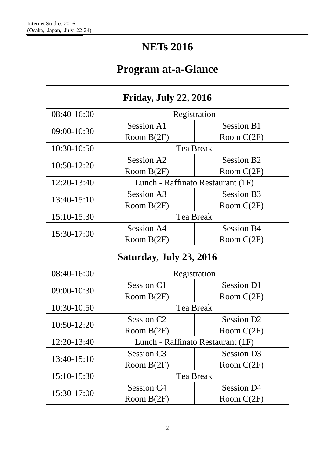# **NETs 2016**

# **Program at-a-Glance**

| <b>Friday, July 22, 2016</b> |                        |                                   |  |
|------------------------------|------------------------|-----------------------------------|--|
| 08:40-16:00                  | Registration           |                                   |  |
|                              | Session A1             | <b>Session B1</b>                 |  |
| 09:00-10:30                  | Room $B(2F)$           | Room $C(2F)$                      |  |
| 10:30-10:50                  |                        | <b>Tea Break</b>                  |  |
| 10:50-12:20                  | Session A2             | <b>Session B2</b>                 |  |
|                              | Room $B(2F)$           | Room $C(2F)$                      |  |
| 12:20-13:40                  |                        | Lunch - Raffinato Restaurant (1F) |  |
| 13:40-15:10                  | Session A3             | <b>Session B3</b>                 |  |
|                              | Room $B(2F)$           | Room $C(2F)$                      |  |
| 15:10-15:30                  |                        | <b>Tea Break</b>                  |  |
|                              | <b>Session A4</b>      | <b>Session B4</b>                 |  |
| 15:30-17:00                  | Room $B(2F)$           | Room $C(2F)$                      |  |
| Saturday, July 23, 2016      |                        |                                   |  |
| 08:40-16:00                  | Registration           |                                   |  |
|                              | Session C1             | <b>Session D1</b>                 |  |
| 09:00-10:30                  | Room $B(2F)$           | Room $C(2F)$                      |  |
| 10:30-10:50                  |                        | <b>Tea Break</b>                  |  |
|                              | Session C <sub>2</sub> | Session D <sub>2</sub>            |  |
| 10:50-12:20                  | Room B(2F)             | Room $C(2F)$                      |  |
| 12:20-13:40                  |                        | Lunch - Raffinato Restaurant (1F) |  |
|                              | Session C <sub>3</sub> | Session D <sub>3</sub>            |  |
| 13:40-15:10                  | Room B(2F)             | Room $C(2F)$                      |  |
| 15:10-15:30                  |                        | <b>Tea Break</b>                  |  |
| 15:30-17:00                  | Session C4             | <b>Session D4</b>                 |  |
|                              | Room $B(2F)$           | Room $C(2F)$                      |  |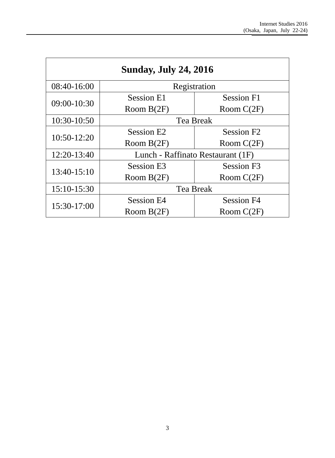| <b>Sunday, July 24, 2016</b> |                                   |                        |
|------------------------------|-----------------------------------|------------------------|
| 08:40-16:00                  | Registration                      |                        |
| 09:00-10:30                  | <b>Session E1</b>                 | <b>Session F1</b>      |
|                              | Room $B(2F)$                      | Room $C(2F)$           |
| 10:30-10:50                  | <b>Tea Break</b>                  |                        |
| 10:50-12:20                  | Session E2                        | Session F <sub>2</sub> |
|                              | Room $B(2F)$                      | Room $C(2F)$           |
| 12:20-13:40                  | Lunch - Raffinato Restaurant (1F) |                        |
|                              | <b>Session E3</b>                 | Session F3             |
| 13:40-15:10                  | Room $B(2F)$                      | Room $C(2F)$           |
| 15:10-15:30                  | <b>Tea Break</b>                  |                        |
| 15:30-17:00                  | <b>Session E4</b>                 | <b>Session F4</b>      |
|                              | Room $B(2F)$                      | Room $C(2F)$           |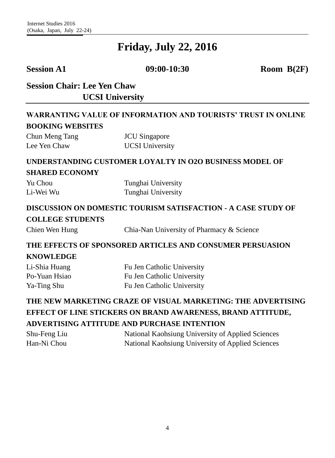**Session A1 09:00-10:30 Room B(2F)**

# **Session Chair: Lee Yen Chaw UCSI University**

#### **WARRANTING VALUE OF INFORMATION AND TOURISTS' TRUST IN ONLINE BOOKING WEBSITES**

| Chun Meng Tang | <b>JCU</b> Singapore   |
|----------------|------------------------|
| Lee Yen Chaw   | <b>UCSI</b> University |

#### **UNDERSTANDING CUSTOMER LOYALTY IN O2O BUSINESS MODEL OF SHARED ECONOMY**

| Yu Chou   | Tunghai University |
|-----------|--------------------|
| Li-Wei Wu | Tunghai University |

#### **DISCUSSION ON DOMESTIC TOURISM SATISFACTION - A CASE STUDY OF COLLEGE STUDENTS**

Chien Wen Hung Chia-Nan University of Pharmacy & Science

# **THE EFFECTS OF SPONSORED ARTICLES AND CONSUMER PERSUASION**

#### **KNOWLEDGE**

| Li-Shia Huang | Fu Jen Catholic University |
|---------------|----------------------------|
| Po-Yuan Hsiao | Fu Jen Catholic University |
| Ya-Ting Shu   | Fu Jen Catholic University |

# **THE NEW MARKETING CRAZE OF VISUAL MARKETING: THE ADVERTISING EFFECT OF LINE STICKERS ON BRAND AWARENESS, BRAND ATTITUDE, ADVERTISING ATTITUDE AND PURCHASE INTENTION**

| Shu-Feng Liu | National Kaohsiung University of Applied Sciences |
|--------------|---------------------------------------------------|
| Han-Ni Chou  | National Kaohsiung University of Applied Sciences |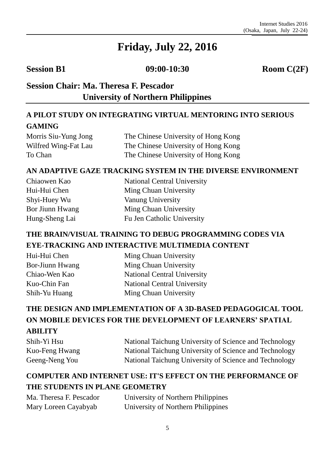**Session B1 09:00-10:30 Room C(2F)**

# **Session Chair: Ma. Theresa F. Pescador University of Northern Philippines**

## **A PILOT STUDY ON INTEGRATING VIRTUAL MENTORING INTO SERIOUS GAMING**

Morris Siu-Yung Jong Wilfred Wing-Fat Lau To Chan

The Chinese University of Hong Kong The Chinese University of Hong Kong The Chinese University of Hong Kong

#### **AN ADAPTIVE GAZE TRACKING SYSTEM IN THE DIVERSE ENVIRONMENT**

| Chiaowen Kao    | <b>National Central University</b> |
|-----------------|------------------------------------|
| Hui-Hui Chen    | Ming Chuan University              |
| Shyi-Huey Wu    | Vanung University                  |
| Bor Jiunn Hwang | Ming Chuan University              |
| Hung-Sheng Lai  | Fu Jen Catholic University         |

### **THE BRAIN/VISUAL TRAINING TO DEBUG PROGRAMMING CODES VIA EYE-TRACKING AND INTERACTIVE MULTIMEDIA CONTENT**

Hui-Hui Chen Bor-Jiunn Hwang Chiao-Wen Kao Kuo-Chin Fan Shih-Yu Huang

Ming Chuan University Ming Chuan University National Central University National Central University Ming Chuan University

# **THE DESIGN AND IMPLEMENTATION OF A 3D-BASED PEDAGOGICAL TOOL ON MOBILE DEVICES FOR THE DEVELOPMENT OF LEARNERS' SPATIAL ABILITY**

| Shih-Yi Hsu    | National Taichung University of Science and Technology |
|----------------|--------------------------------------------------------|
| Kuo-Feng Hwang | National Taichung University of Science and Technology |
| Geeng-Neng You | National Taichung University of Science and Technology |

### **COMPUTER AND INTERNET USE: IT'S EFFECT ON THE PERFORMANCE OF THE STUDENTS IN PLANE GEOMETRY**

| Ma. Theresa F. Pescador | University of Northern Philippines |
|-------------------------|------------------------------------|
| Mary Loreen Cayabyab    | University of Northern Philippines |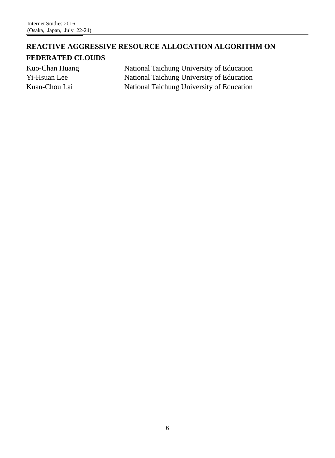## **REACTIVE AGGRESSIVE RESOURCE ALLOCATION ALGORITHM ON FEDERATED CLOUDS**

Kuo-Chan Huang Yi-Hsuan Lee Kuan-Chou Lai

National Taichung University of Education National Taichung University of Education National Taichung University of Education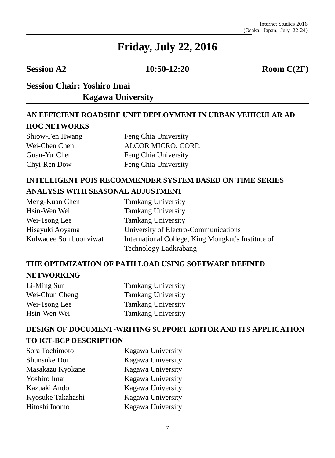**Session A2 10:50-12:20 Room C(2F)** 

# **Session Chair: Yoshiro Imai Session Chair: Kagawa University**

## **AN EFFICIENT ROADSIDE UNIT DEPLOYMENT IN URBAN VEHICULAR AD HOC NETWORKS**

Shiow-Fen Hwang Wei-Chen Chen Guan-Yu Chen Chyi-Ren Dow

Feng Chia University ALCOR MICRO, CORP. Feng Chia University Feng Chia University

### **INTELLIGENT POIS RECOMMENDER SYSTEM BASED ON TIME SERIES ANALYSIS WITH SEASONAL ADJUSTMENT**

| Meng-Kuan Chen        | <b>Tamkang University</b>                          |
|-----------------------|----------------------------------------------------|
| Hsin-Wen Wei          | <b>Tamkang University</b>                          |
| Wei-Tsong Lee         | <b>Tamkang University</b>                          |
| Hisayuki Aoyama       | University of Electro-Communications               |
| Kulwadee Somboonviwat | International College, King Mongkut's Institute of |
|                       | Technology Ladkrabang                              |

## **THE OPTIMIZATION OF PATH LOAD USING SOFTWARE DEFINED NETWORKING**

Li-Ming Sun Wei-Chun Cheng Wei-Tsong Lee Hsin-Wen Wei Tamkang University Tamkang University Tamkang University Tamkang University

## **DESIGN OF DOCUMENT-WRITING SUPPORT EDITOR AND ITS APPLICATION TO ICT-BCP DESCRIPTION**

| Kagawa University |
|-------------------|
| Kagawa University |
| Kagawa University |
| Kagawa University |
| Kagawa University |
| Kagawa University |
| Kagawa University |
|                   |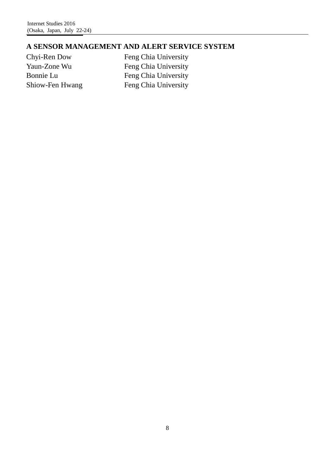#### **A SENSOR MANAGEMENT AND ALERT SERVICE SYSTEM**

Chyi-Ren Dow Yaun-Zone Wu Bonnie Lu Shiow-Fen Hwang Feng Chia University Feng Chia University Feng Chia University Feng Chia University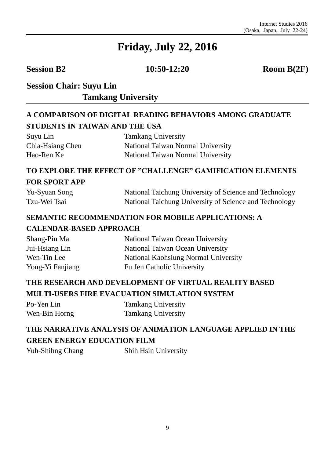**Session B2 10:50-12:20 Room B(2F)** 

# **Session Chair: Suyu Lin Tamkang University**

#### **A COMPARISON OF DIGITAL READING BEHAVIORS AMONG GRADUATE STUDENTS IN TAIWAN AND THE USA**

| Suyu Lin         | <b>Tamkang University</b>         |
|------------------|-----------------------------------|
| Chia-Hsiang Chen | National Taiwan Normal University |
| Hao-Ren Ke       | National Taiwan Normal University |

#### **TO EXPLORE THE EFFECT OF "CHALLENGE" GAMIFICATION ELEMENTS FOR SPORT APP**

| Yu-Syuan Song | National Taichung University of Science and Technology |
|---------------|--------------------------------------------------------|
| Tzu-Wei Tsai  | National Taichung University of Science and Technology |

#### **SEMANTIC RECOMMENDATION FOR MOBILE APPLICATIONS: A**

#### **CALENDAR-BASED APPROACH**

| National Taiwan Ocean University     |
|--------------------------------------|
| National Taiwan Ocean University     |
| National Kaohsiung Normal University |
| Fu Jen Catholic University           |
|                                      |

### **THE RESEARCH AND DEVELOPMENT OF VIRTUAL REALITY BASED MULTI-USERS FIRE EVACUATION SIMULATION SYSTEM**

| Po-Yen Lin    | <b>Tamkang University</b> |
|---------------|---------------------------|
| Wen-Bin Horng | <b>Tamkang University</b> |

## **THE NARRATIVE ANALYSIS OF ANIMATION LANGUAGE APPLIED IN THE GREEN ENERGY EDUCATION FILM**

Yuh-Shihng Chang Shih Hsin University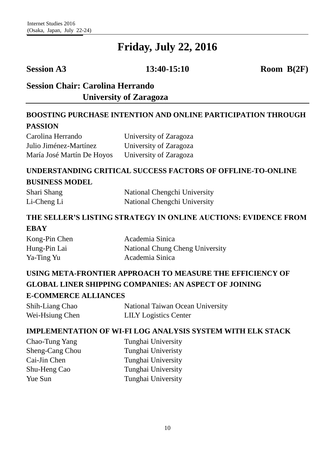**Session A3 13:40-15:10 Room B(2F)**

# **Session Chair: Carolina Herrando Session Chair: University of Zaragoza**

#### **BOOSTING PURCHASE INTENTION AND ONLINE PARTICIPATION THROUGH PASSION**

| Carolina Herrando          | University of Zaragoza |
|----------------------------|------------------------|
| Julio Jiménez-Martínez     | University of Zaragoza |
| María José Martín De Hoyos | University of Zaragoza |

#### **UNDERSTANDING CRITICAL SUCCESS FACTORS OF OFFLINE-TO-ONLINE BUSINESS MODEL**

| Shari Shang | National Chengchi University |
|-------------|------------------------------|
| Li-Cheng Li | National Chengchi University |

#### **THE SELLER'S LISTING STRATEGY IN ONLINE AUCTIONS: EVIDENCE FROM EBAY**

| Kong-Pin Chen | Academia Sinica                 |
|---------------|---------------------------------|
| Hung-Pin Lai  | National Chung Cheng University |
| Ya-Ting Yu    | Academia Sinica                 |

# **USING META-FRONTIER APPROACH TO MEASURE THE EFFICIENCY OF GLOBAL LINER SHIPPING COMPANIES: AN ASPECT OF JOINING**

#### **E-COMMERCE ALLIANCES**

| Shih-Liang Chao | National Taiwan Ocean University |
|-----------------|----------------------------------|
| Wei-Hsiung Chen | <b>LILY</b> Logistics Center     |

#### **IMPLEMENTATION OF WI-FI LOG ANALYSIS SYSTEM WITH ELK STACK**

| Chao-Tung Yang  | Tunghai University |
|-----------------|--------------------|
| Sheng-Cang Chou | Tunghai Univeristy |
| Cai-Jin Chen    | Tunghai University |
| Shu-Heng Cao    | Tunghai University |
| Yue Sun         | Tunghai University |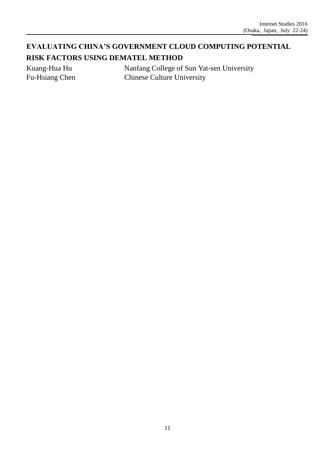# **EVALUATING CHINA'S GOVERNMENT CLOUD COMPUTING POTENTIAL RISK FACTORS USING DEMATEL METHOD**

Kuang-Hua Hu Fu-Hsiang Chen Nanfang College of Sun Yat-sen University Chinese Culture University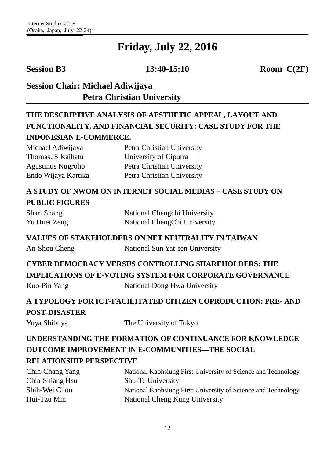**Session B3 13:40-15:10 Room C(2F)**

## **Session Chair: Michael Adiwijaya Petra Christian University**

# **THE DESCRIPTIVE ANALYSIS OF AESTHETIC APPEAL, LAYOUT AND FUNCTIONALITY, AND FINANCIAL SECURITY: CASE STUDY FOR THE INDONESIAN E-COMMERCE.**

| Michael Adiwijaya        | Petra Christian University |
|--------------------------|----------------------------|
| Thomas. S Kaihatu        | University of Ciputra      |
| <b>Agustinus Nugroho</b> | Petra Christian University |
| Endo Wijaya Kartika      | Petra Christian University |

## **A STUDY OF NWOM ON INTERNET SOCIAL MEDIAS – CASE STUDY ON PUBLIC FIGURES**

| Shari Shang  | National Chengchi University |
|--------------|------------------------------|
| Yu Huei Zeng | National ChengChi University |

#### **VALUES OF STAKEHOLDERS ON NET NEUTRALITY IN TAIWAN**

An-Shou Cheng National Sun Yat-sen University

# **CYBER DEMOCRACY VERSUS CONTROLLING SHAREHOLDERS: THE**

**IMPLICATIONS OF E-VOTING SYSTEM FOR CORPORATE GOVERNANCE**

Kuo-Pin Yang National Dong Hwa University

# **A TYPOLOGY FOR ICT-FACILITATED CITIZEN COPRODUCTION: PRE- AND POST-DISASTER**

Yuya Shibuya The University of Tokyo

# **UNDERSTANDING THE FORMATION OF CONTINUANCE FOR KNOWLEDGE OUTCOME IMPROVEMENT IN E-COMMUNITIES—THE SOCIAL RELATIONSHIP PERSPECTIVE**

#### Chih-Chang Yang Chia-Shiang Hsu Shih-Wei Chou Hui-Tzu Min National Kaohsiung First University of Science and Technology Shu-Te University National Kaohsiung First University of Science and Technology National Cheng Kung University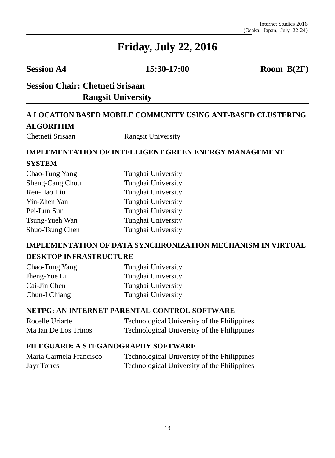**Session A4 15:30-17:00 Room B(2F)**

# **Session Chair: Chetneti Srisaan Rangsit University**

# **A LOCATION BASED MOBILE COMMUNITY USING ANT-BASED CLUSTERING ALGORITHM**

Chetneti Srisaan Rangsit University

# **IMPLEMENTATION OF INTELLIGENT GREEN ENERGY MANAGEMENT SYSTEM**

| Chao-Tung Yang  | Tunghai University |
|-----------------|--------------------|
| Sheng-Cang Chou | Tunghai University |
| Ren-Hao Liu     | Tunghai University |
| Yin-Zhen Yan    | Tunghai University |
| Pei-Lun Sun     | Tunghai University |
| Tsung-Yueh Wan  | Tunghai University |
| Shuo-Tsung Chen | Tunghai University |

#### **IMPLEMENTATION OF DATA SYNCHRONIZATION MECHANISM IN VIRTUAL DESKTOP INFRASTRUCTURE**

| Chao-Tung Yang | Tunghai University |
|----------------|--------------------|
| Jheng-Yue Li   | Tunghai University |
| Cai-Jin Chen   | Tunghai University |
| Chun-I Chiang  | Tunghai University |

#### **NETPG: AN INTERNET PARENTAL CONTROL SOFTWARE**

Rocelle Uriarte Ma Ian De Los Trinos Technological University of the Philippines Technological University of the Philippines

#### **FILEGUARD: A STEGANOGRAPHY SOFTWARE**

Maria Carmela Francisco Jayr Torres Technological University of the Philippines Technological University of the Philippines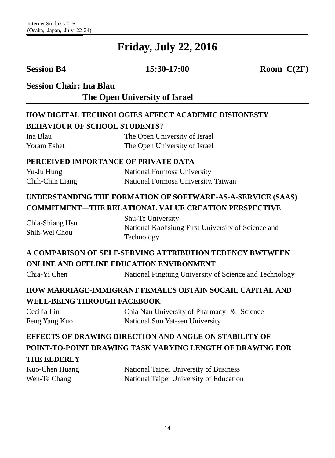**Session B4 15:30-17:00 Room C(2F)**

**Session Chair: Ina Blau**

**The Open University of Israel** 

## **HOW DIGITAL TECHNOLOGIES AFFECT ACADEMIC DISHONESTY BEHAVIOUR OF SCHOOL STUDENTS?**

| Ina Blau    | The Open University of Israel |
|-------------|-------------------------------|
| Yoram Eshet | The Open University of Israel |

#### **PERCEIVED IMPORTANCE OF PRIVATE DATA**

| Yu-Ju Hung      | National Formosa University         |
|-----------------|-------------------------------------|
| Chih-Chin Liang | National Formosa University, Taiwan |

# **UNDERSTANDING THE FORMATION OF SOFTWARE-AS-A-SERVICE (SAAS) COMMITMENT—THE RELATIONAL VALUE CREATION PERSPECTIVE**

| Chia-Shiang Hsu | Shu-Te University                                  |
|-----------------|----------------------------------------------------|
| Shih-Wei Chou   | National Kaohsiung First University of Science and |
|                 | Technology                                         |

## **A COMPARISON OF SELF-SERVING ATTRIBUTION TEDENCY BWTWEEN ONLINE AND OFFLINE EDUCATION ENVIRONMENT**

Chia-Yi Chen National Pingtung University of Science and Technology

### **HOW MARRIAGE-IMMIGRANT FEMALES OBTAIN SOCAIL CAPITAL AND WELL-BEING THROUGH FACEBOOK**

| Cecilia Lin   | Chia Nan University of Pharmacy $\&$ Science |  |
|---------------|----------------------------------------------|--|
| Feng Yang Kuo | National Sun Yat-sen University              |  |

# **EFFECTS OF DRAWING DIRECTION AND ANGLE ON STABILITY OF POINT-TO-POINT DRAWING TASK VARYING LENGTH OF DRAWING FOR THE ELDERLY**

| Kuo-Chen Huang | National Taipei University of Business  |
|----------------|-----------------------------------------|
| Wen-Te Chang   | National Taipei University of Education |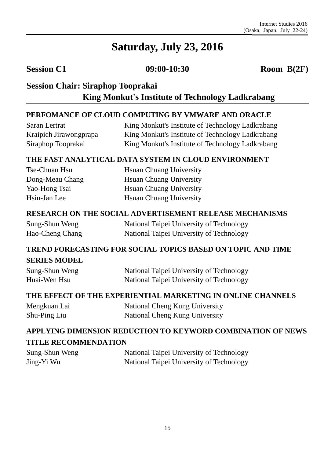**Session C1 09:00-10:30 Room B(2F)**

## **Session Chair: Siraphop Tooprakai Session Chair: King Monkut's Institute of Technology Ladkrabang**

#### **PERFOMANCE OF CLOUD COMPUTING BY VMWARE AND ORACLE**

Saran Lertrat Kraipich Jirawongprapa Siraphop Tooprakai

King Monkut's Institute of Technology Ladkrabang King Monkut's Institute of Technology Ladkrabang King Monkut's Institute of Technology Ladkrabang

#### **THE FAST ANALYTICAL DATA SYSTEM IN CLOUD ENVIRONMENT**

Tse-Chuan Hsu Dong-Meau Chang Yao-Hong Tsai Hsin-Jan Lee

Hsuan Chuang University Hsuan Chuang University Hsuan Chuang University Hsuan Chuang University

#### **RESEARCH ON THE SOCIAL ADVERTISEMENT RELEASE MECHANISMS**

| Sung-Shun Weng  | National Taipei University of Technology |
|-----------------|------------------------------------------|
| Hao-Cheng Chang | National Taipei University of Technology |

#### **TREND FORECASTING FOR SOCIAL TOPICS BASED ON TOPIC AND TIME SERIES MODEL**

| Sung-Shun Weng | National Taipei University of Technology |
|----------------|------------------------------------------|
| Huai-Wen Hsu   | National Taipei University of Technology |

#### **THE EFFECT OF THE EXPERIENTIAL MARKETING IN ONLINE CHANNELS**

| Mengkuan Lai | National Cheng Kung University |
|--------------|--------------------------------|
| Shu-Ping Liu | National Cheng Kung University |

# **APPLYING DIMENSION REDUCTION TO KEYWORD COMBINATION OF NEWS TITLE RECOMMENDATION**

| Sung-Shun Weng | National Taipei University of Technology |
|----------------|------------------------------------------|
| Jing-Yi Wu     | National Taipei University of Technology |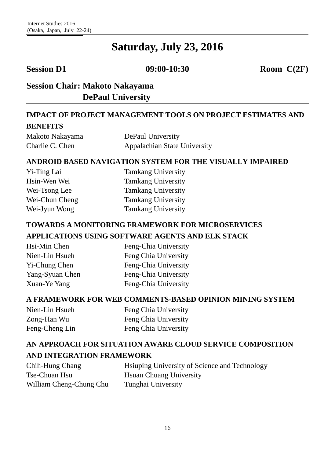**Session D1 09:00-10:30 Room C(2F)** 

### **Session Chair: Makoto Nakayama DePaul University**

#### **IMPACT OF PROJECT MANAGEMENT TOOLS ON PROJECT ESTIMATES AND BENEFITS**

| Makoto Nakayama | DePaul University            |
|-----------------|------------------------------|
| Charlie C. Chen | Appalachian State University |

#### **ANDROID BASED NAVIGATION SYSTEM FOR THE VISUALLY IMPAIRED**

| <b>Tamkang University</b> |
|---------------------------|
| <b>Tamkang University</b> |
| <b>Tamkang University</b> |
| <b>Tamkang University</b> |
| <b>Tamkang University</b> |
|                           |

#### **TOWARDS A MONITORING FRAMEWORK FOR MICROSERVICES APPLICATIONS USING SOFTWARE AGENTS AND ELK STACK**

| Hsi-Min Chen    |  |
|-----------------|--|
| Nien-Lin Hsueh  |  |
| Yi-Chung Chen   |  |
| Yang-Syuan Chen |  |
| Xuan-Ye Yang    |  |

Feng-Chia University Feng Chia University Feng-Chia University Feng-Chia University Feng-Chia University

#### **A FRAMEWORK FOR WEB COMMENTS-BASED OPINION MINING SYSTEM**

| Nien-Lin Hsueh | Feng Chia University |
|----------------|----------------------|
| Zong-Han Wu    | Feng Chia University |
| Feng-Cheng Lin | Feng Chia University |

#### **AN APPROACH FOR SITUATION AWARE CLOUD SERVICE COMPOSITION AND INTEGRATION FRAMEWORK**

| Chih-Hung Chang         | Hsiuping University of Science and Technology |
|-------------------------|-----------------------------------------------|
| Tse-Chuan Hsu           | <b>H</b> suan Chuang University               |
| William Cheng-Chung Chu | Tunghai University                            |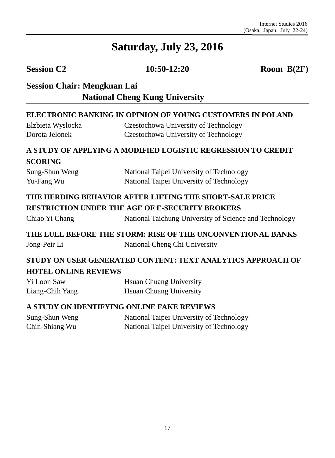**Session C2 10:50-12:20 Room B(2F)** 

# **Session Chair: Mengkuan Lai National Cheng Kung University**

#### **ELECTRONIC BANKING IN OPINION OF YOUNG CUSTOMERS IN POLAND**

| Elzbieta Wyslocka | Czestochowa University of Technology |
|-------------------|--------------------------------------|
| Dorota Jelonek    | Czestochowa University of Technology |

#### **A STUDY OF APPLYING A MODIFIED LOGISTIC REGRESSION TO CREDIT**

#### **SCORING**

| Sung-Shun Weng | National Taipei University of Technology |
|----------------|------------------------------------------|
| Yu-Fang Wu     | National Taipei University of Technology |

#### **THE HERDING BEHAVIOR AFTER LIFTING THE SHORT-SALE PRICE RESTRICTION UNDER THE AGE OF E-SECURITY BROKERS**

Chiao Yi Chang National Taichung University of Science and Technology

#### **THE LULL BEFORE THE STORM: RISE OF THE UNCONVENTIONAL BANKS** Jong-Peir Li National Cheng Chi University

#### **STUDY ON USER GENERATED CONTENT: TEXT ANALYTICS APPROACH OF HOTEL ONLINE REVIEWS**

| Yi Loon Saw     | <b>H</b> suan Chuang University |
|-----------------|---------------------------------|
| Liang-Chih Yang | <b>H</b> suan Chuang University |

#### **A STUDY ON IDENTIFYING ONLINE FAKE REVIEWS**

| Sung-Shun Weng | National Taipei University of Technology |
|----------------|------------------------------------------|
| Chin-Shiang Wu | National Taipei University of Technology |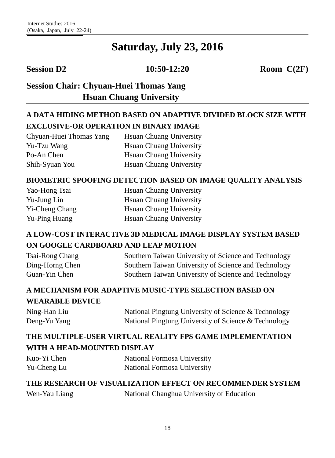**Session D2 10:50-12:20 Room C(2F)** 

# **Session Chair: Chyuan-Huei Thomas Yang Hsuan Chuang University**

# **A DATA HIDING METHOD BASED ON ADAPTIVE DIVIDED BLOCK SIZE WITH EXCLUSIVE-OR OPERATION IN BINARY IMAGE**

| Chyuan-Huei Thomas Yang | <b>H</b> suan Chuang University |
|-------------------------|---------------------------------|
| Yu-Tzu Wang             | <b>H</b> suan Chuang University |
| Po-An Chen              | <b>H</b> suan Chuang University |
| Shih-Syuan You          | <b>H</b> suan Chuang University |

#### **BIOMETRIC SPOOFING DETECTION BASED ON IMAGE QUALITY ANALYSIS**

| Yao-Hong Tsai  | <b>H</b> suan Chuang University |
|----------------|---------------------------------|
| Yu-Jung Lin    | <b>H</b> suan Chuang University |
| Yi-Cheng Chang | <b>H</b> suan Chuang University |
| Yu-Ping Huang  | <b>H</b> suan Chuang University |

## **A LOW-COST INTERACTIVE 3D MEDICAL IMAGE DISPLAY SYSTEM BASED ON GOOGLE CARDBOARD AND LEAP MOTION**

| Tsai-Rong Chang | Southern Taiwan University of Science and Technology |
|-----------------|------------------------------------------------------|
| Ding-Horng Chen | Southern Taiwan University of Science and Technology |
| Guan-Yin Chen   | Southern Taiwan University of Science and Technology |

## **A MECHANISM FOR ADAPTIVE MUSIC-TYPE SELECTION BASED ON WEARABLE DEVICE**

| Ning-Han Liu | National Pingtung University of Science & Technology |
|--------------|------------------------------------------------------|
| Deng-Yu Yang | National Pingtung University of Science & Technology |

#### **THE MULTIPLE-USER VIRTUAL REALITY FPS GAME IMPLEMENTATION WITH A HEAD-MOUNTED DISPLAY**

| Kuo-Yi Chen | National Formosa University |
|-------------|-----------------------------|
| Yu-Cheng Lu | National Formosa University |

#### **THE RESEARCH OF VISUALIZATION EFFECT ON RECOMMENDER SYSTEM**

Wen-Yau Liang National Changhua University of Education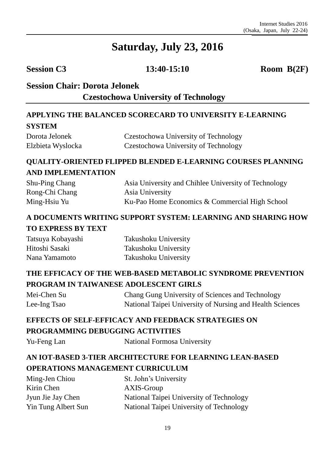**Session C3 13:40-15:10 Room B(2F)**

## **Session Chair: Dorota Jelonek**

**Czestochowa University of Technology** 

## **APPLYING THE BALANCED SCORECARD TO UNIVERSITY E-LEARNING SYSTEM**

| Dorota Jelonek    | Czestochowa University of Technology |
|-------------------|--------------------------------------|
| Elzbieta Wyslocka | Czestochowa University of Technology |

### **QUALITY-ORIENTED FLIPPED BLENDED E-LEARNING COURSES PLANNING AND IMPLEMENTATION**

| Shu-Ping Chang | Asia University and Chihlee University of Technology |
|----------------|------------------------------------------------------|
| Rong-Chi Chang | Asia University                                      |
| Ming-Hsiu Yu   | Ku-Pao Home Economics & Commercial High School       |

## **A DOCUMENTS WRITING SUPPORT SYSTEM: LEARNING AND SHARING HOW TO EXPRESS BY TEXT**

| Tatsuya Kobayashi | Takushoku University |
|-------------------|----------------------|
| Hitoshi Sasaki    | Takushoku University |
| Nana Yamamoto     | Takushoku University |

## **THE EFFICACY OF THE WEB-BASED METABOLIC SYNDROME PREVENTION PROGRAM IN TAIWANESE ADOLESCENT GIRLS**

| Mei-Chen Su  | Chang Gung University of Sciences and Technology          |
|--------------|-----------------------------------------------------------|
| Lee-Ing Tsao | National Taipei University of Nursing and Health Sciences |

## **EFFECTS OF SELF-EFFICACY AND FEEDBACK STRATEGIES ON PROGRAMMING DEBUGGING ACTIVITIES**

Yu-Feng Lan National Formosa University

## **AN IOT-BASED 3-TIER ARCHITECTURE FOR LEARNING LEAN-BASED OPERATIONS MANAGEMENT CURRICULUM**

| Ming-Jen Chiou      | St. John's University                    |
|---------------------|------------------------------------------|
| Kirin Chen          | AXIS-Group                               |
| Jyun Jie Jay Chen   | National Taipei University of Technology |
| Yin Tung Albert Sun | National Taipei University of Technology |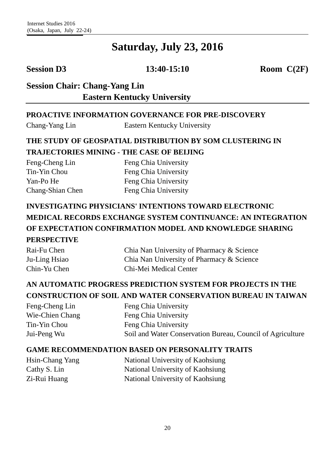**Session D3 13:40-15:10 Room C(2F)**

## **Session Chair: Chang-Yang Lin Eastern Kentucky University**

#### **PROACTIVE INFORMATION GOVERNANCE FOR PRE-DISCOVERY**

Chang-Yang Lin Eastern Kentucky University

#### **THE STUDY OF GEOSPATIAL DISTRIBUTION BY SOM CLUSTERING IN TRAJECTORIES MINING - THE CASE OF BEIJING**

Feng-Cheng Lin Tin-Yin Chou Yan-Po He Chang-Shian Chen

Feng Chia University Feng Chia University Feng Chia University Feng Chia University

# **INVESTIGATING PHYSICIANS' INTENTIONS TOWARD ELECTRONIC MEDICAL RECORDS EXCHANGE SYSTEM CONTINUANCE: AN INTEGRATION OF EXPECTATION CONFIRMATION MODEL AND KNOWLEDGE SHARING PERSPECTIVE**

| Rai-Fu Chen   | Chia Nan University of Pharmacy & Science |
|---------------|-------------------------------------------|
| Ju-Ling Hsiao | Chia Nan University of Pharmacy & Science |
| Chin-Yu Chen  | Chi-Mei Medical Center                    |

### **AN AUTOMATIC PROGRESS PREDICTION SYSTEM FOR PROJECTS IN THE CONSTRUCTION OF SOIL AND WATER CONSERVATION BUREAU IN TAIWAN**

Feng-Cheng Lin Wie-Chien Chang Tin-Yin Chou Jui-Peng Wu Feng Chia University Feng Chia University Feng Chia University Soil and Water Conservation Bureau, Council of Agriculture

#### **GAME RECOMMENDATION BASED ON PERSONALITY TRAITS**

Hsin-Chang Yang Cathy S. Lin Zi-Rui Huang

National University of Kaohsiung National University of Kaohsiung National University of Kaohsiung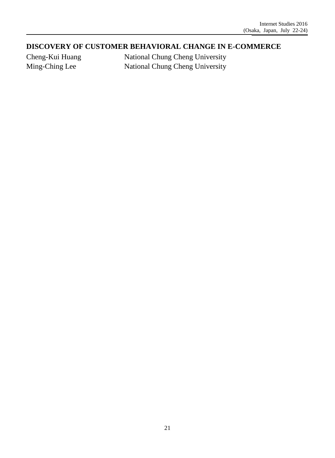#### **DISCOVERY OF CUSTOMER BEHAVIORAL CHANGE IN E-COMMERCE**

Cheng-Kui Huang Ming-Ching Lee

National Chung Cheng University National Chung Cheng University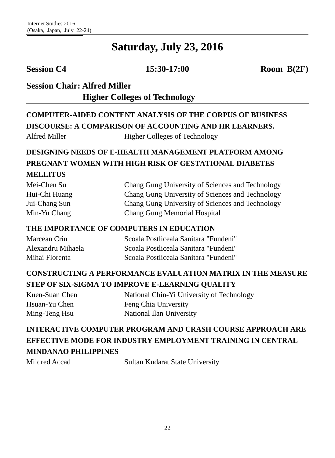**Session C4 15:30-17:00 Room B(2F)**

# **Session Chair: Alfred Miller Higher Colleges of Technology**

# **COMPUTER-AIDED CONTENT ANALYSIS OF THE CORPUS OF BUSINESS DISCOURSE: A COMPARISON OF ACCOUNTING AND HR LEARNERS.** Alfred Miller Higher Colleges of Technology

# **DESIGNING NEEDS OF E-HEALTH MANAGEMENT PLATFORM AMONG PREGNANT WOMEN WITH HIGH RISK OF GESTATIONAL DIABETES MELLITUS**

| Mei-Chen Su   | Chang Gung University of Sciences and Technology |
|---------------|--------------------------------------------------|
| Hui-Chi Huang | Chang Gung University of Sciences and Technology |
| Jui-Chang Sun | Chang Gung University of Sciences and Technology |
| Min-Yu Chang  | <b>Chang Gung Memorial Hospital</b>              |

#### **THE IMPORTANCE OF COMPUTERS IN EDUCATION**

| Marcean Crin      | Scoala Postliceala Sanitara "Fundeni" |
|-------------------|---------------------------------------|
| Alexandru Mihaela | Scoala Postliceala Sanitara "Fundeni" |
| Mihai Florenta    | Scoala Postliceala Sanitara "Fundeni" |

### **CONSTRUCTING A PERFORMANCE EVALUATION MATRIX IN THE MEASURE STEP OF SIX-SIGMA TO IMPROVE E-LEARNING QUALITY**

| Kuen-Suan Chen | National Chin-Yi University of Technology |
|----------------|-------------------------------------------|
| Hsuan-Yu Chen  | Feng Chia University                      |
| Ming-Teng Hsu  | National Ilan University                  |

## **INTERACTIVE COMPUTER PROGRAM AND CRASH COURSE APPROACH ARE EFFECTIVE MODE FOR INDUSTRY EMPLOYMENT TRAINING IN CENTRAL MINDANAO PHILIPPINES**

Mildred Accad Sultan Kudarat State University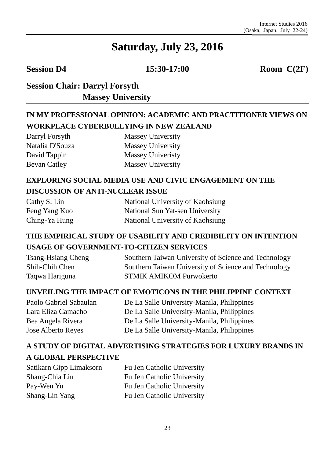**Session D4 15:30-17:00 Room C(2F)**

## **Session Chair: Darryl Forsyth Massey University**

## **IN MY PROFESSIONAL OPINION: ACADEMIC AND PRACTITIONER VIEWS ON WORKPLACE CYBERBULLYING IN NEW ZEALAND**

| Darryl Forsyth  | <b>Massey University</b> |
|-----------------|--------------------------|
| Natalia D'Souza | <b>Massey University</b> |
| David Tappin    | <b>Massey Univeristy</b> |
| Bevan Catley    | Massey University        |

#### **EXPLORING SOCIAL MEDIA USE AND CIVIC ENGAGEMENT ON THE DISCUSSION OF ANTI-NUCLEAR ISSUE**

| Cathy S. Lin  | National University of Kaohsiung |
|---------------|----------------------------------|
| Feng Yang Kuo | National Sun Yat-sen University  |
| Ching-Ya Hung | National University of Kaohsiung |

### **THE EMPIRICAL STUDY OF USABILITY AND CREDIBILITY ON INTENTION USAGE OF GOVERNMENT-TO-CITIZEN SERVICES**

| <b>Tsang-Hsiang Cheng</b> | Southern Taiwan University of Science and Technology |
|---------------------------|------------------------------------------------------|
| Shih-Chih Chen            | Southern Taiwan University of Science and Technology |
| Taqwa Hariguna            | <b>STMIK AMIKOM Purwokerto</b>                       |

#### **UNVEILING THE IMPACT OF EMOTICONS IN THE PHILIPPINE CONTEXT**

| De La Salle University-Manila, Philippines |
|--------------------------------------------|
| De La Salle University-Manila, Philippines |
| De La Salle University-Manila, Philippines |
| De La Salle University-Manila, Philippines |
|                                            |

## **A STUDY OF DIGITAL ADVERTISING STRATEGIES FOR LUXURY BRANDS IN A GLOBAL PERSPECTIVE**

Satikarn Gipp Limaksorn Shang-Chia Liu Pay-Wen Yu Shang-Lin Yang

Fu Jen Catholic University Fu Jen Catholic University Fu Jen Catholic University Fu Jen Catholic University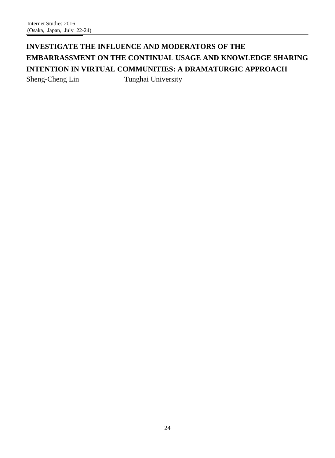# **INVESTIGATE THE INFLUENCE AND MODERATORS OF THE EMBARRASSMENT ON THE CONTINUAL USAGE AND KNOWLEDGE SHARING INTENTION IN VIRTUAL COMMUNITIES: A DRAMATURGIC APPROACH**

Sheng-Cheng Lin Tunghai University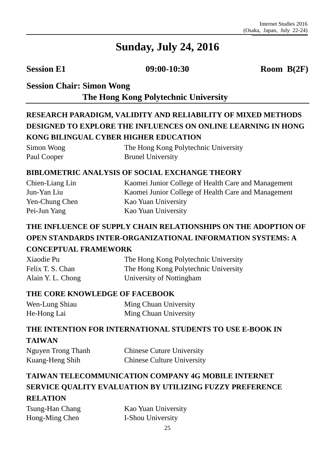**Session E1 09:00-10:30 Room B(2F)**

# **Session Chair: Simon Wong The Hong Kong Polytechnic University**

# **RESEARCH PARADIGM, VALIDITY AND RELIABILITY OF MIXED METHODS DESIGNED TO EXPLORE THE INFLUENCES ON ONLINE LEARNING IN HONG KONG BILINGUAL CYBER HIGHER EDUCATION**

| Simon Wong  | The Hong Kong Polytechnic University |
|-------------|--------------------------------------|
| Paul Cooper | <b>Brunel University</b>             |

#### **BIBLOMETRIC ANALYSIS OF SOCIAL EXCHANGE THEORY**

| Chien-Liang Lin | Kaomei Junior College of Health Care and Management |
|-----------------|-----------------------------------------------------|
| Jun-Yan Liu     | Kaomei Junior College of Health Care and Management |
| Yen-Chung Chen  | Kao Yuan University                                 |
| Pei-Jun Yang    | Kao Yuan University                                 |

#### **THE INFLUENCE OF SUPPLY CHAIN RELATIONSHIPS ON THE ADOPTION OF OPEN STANDARDS INTER-ORGANIZATIONAL INFORMATION SYSTEMS: A CONCEPTUAL FRAMEWORK**

| Xiaodie Pu        | The Hong Kong Polytechnic University |
|-------------------|--------------------------------------|
| Felix T. S. Chan  | The Hong Kong Polytechnic University |
| Alain Y. L. Chong | University of Nottingham             |

#### **THE CORE KNOWLEDGE OF FACEBOOK**

| Wen-Lung Shiau | Ming Chuan University |
|----------------|-----------------------|
| He-Hong Lai    | Ming Chuan University |

# **THE INTENTION FOR INTERNATIONAL STUDENTS TO USE E-BOOK IN TAIWAN**

| Nguyen Trong Thanh | <b>Chinese Cuture University</b>  |
|--------------------|-----------------------------------|
| Kuang-Heng Shih    | <b>Chinese Culture University</b> |

# **TAIWAN TELECOMMUNICATION COMPANY 4G MOBILE INTERNET SERVICE QUALITY EVALUATION BY UTILIZING FUZZY PREFERENCE RELATION**

Tsung-Han Chang Hong-Ming Chen

Kao Yuan University I-Shou University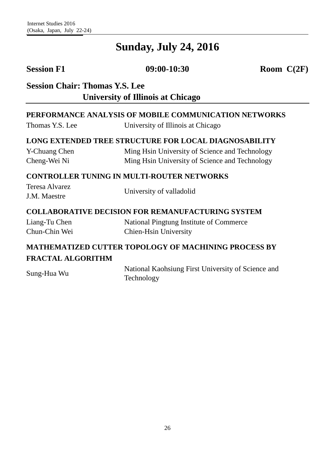**Session F1 09:00-10:30 Room C(2F)** 

**Session Chair: Thomas Y.S. Lee University of Illinois at Chicago** 

#### **PERFORMANCE ANALYSIS OF MOBILE COMMUNICATION NETWORKS**

Thomas Y.S. Lee University of Illinois at Chicago

#### **LONG EXTENDED TREE STRUCTURE FOR LOCAL DIAGNOSABILITY**

| Y-Chuang Chen | Ming Hsin University of Science and Technology |
|---------------|------------------------------------------------|
| Cheng-Wei Ni  | Ming Hsin University of Science and Technology |

#### **CONTROLLER TUNING IN MULTI-ROUTER NETWORKS**

| Teresa Alvarez |                          |
|----------------|--------------------------|
| J.M. Maestre   | University of valladolid |

#### **COLLABORATIVE DECISION FOR REMANUFACTURING SYSTEM**

| Liang-Tu Chen | National Pingtung Institute of Commerce |
|---------------|-----------------------------------------|
| Chun-Chin Wei | Chien-Hsin University                   |

#### **MATHEMATIZED CUTTER TOPOLOGY OF MACHINING PROCESS BY FRACTAL ALGORITHM**

Sung-Hua Wu National Kaohsiung First University of Science and Technology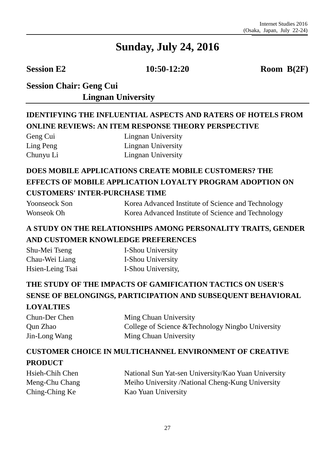**Session E2 10:50-12:20 Room B(2F)** 

# **Session Chair: Geng Cui Session Chair: Lingnan University**

# **IDENTIFYING THE INFLUENTIAL ASPECTS AND RATERS OF HOTELS FROM ONLINE REVIEWS: AN ITEM RESPONSE THEORY PERSPECTIVE**

| Geng Cui  |
|-----------|
| Ling Peng |
| Chunyu Li |

Lingnan University Lingnan University Lingnan University

# **DOES MOBILE APPLICATIONS CREATE MOBILE CUSTOMERS? THE EFFECTS OF MOBILE APPLICATION LOYALTY PROGRAM ADOPTION ON CUSTOMERS' INTER-PURCHASE TIME**

| Yoonseock Son | Korea Advanced Institute of Science and Technology |
|---------------|----------------------------------------------------|
| Wonseok Oh    | Korea Advanced Institute of Science and Technology |

#### **A STUDY ON THE RELATIONSHIPS AMONG PERSONALITY TRAITS, GENDER AND CUSTOMER KNOWLEDGE PREFERENCES**

| Shu-Mei Tseng    | I-Shou University  |
|------------------|--------------------|
| Chau-Wei Liang   | I-Shou University  |
| Hsien-Leing Tsai | I-Shou University, |

## **THE STUDY OF THE IMPACTS OF GAMIFICATION TACTICS ON USER'S SENSE OF BELONGINGS, PARTICIPATION AND SUBSEQUENT BEHAVIORAL**

#### **LOYALTIES**

| Chun-Der Chen | Ming Chuan University                             |
|---------------|---------------------------------------------------|
| Qun Zhao      | College of Science & Technology Ningbo University |
| Jin-Long Wang | Ming Chuan University                             |

## **CUSTOMER CHOICE IN MULTICHANNEL ENVIRONMENT OF CREATIVE PRODUCT**

Hsieh-Chih Chen Meng-Chu Chang Ching-Ching Ke

National Sun Yat-sen University/Kao Yuan University Meiho University /National Cheng-Kung University Kao Yuan University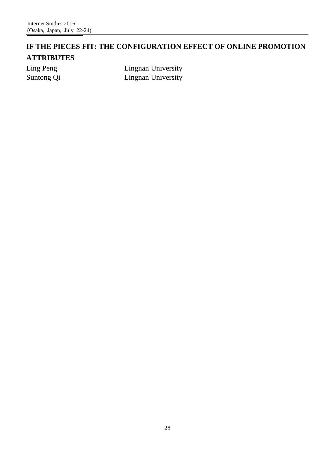### **IF THE PIECES FIT: THE CONFIGURATION EFFECT OF ONLINE PROMOTION ATTRIBUTES**

Ling Peng Suntong Qi Lingnan University Lingnan University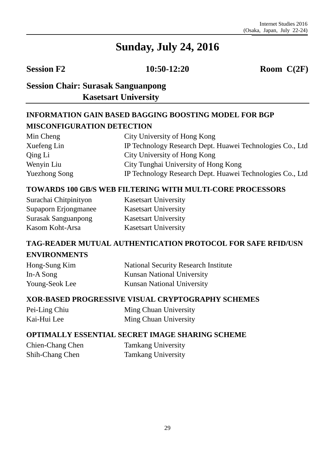**Session F2 10:50-12:20 Room C(2F)** 

# **Session Chair: Surasak Sanguanpong Kasetsart University**

# **INFORMATION GAIN BASED BAGGING BOOSTING MODEL FOR BGP MISCONFIGURATION DETECTION**

| Min Cheng            | City University of Hong Kong                               |
|----------------------|------------------------------------------------------------|
| Xuefeng Lin          | IP Technology Research Dept. Huawei Technologies Co., Ltd. |
| Qing Li              | City University of Hong Kong                               |
| Wenyin Liu           | City Tunghai University of Hong Kong                       |
| <b>Yuezhong Song</b> | IP Technology Research Dept. Huawei Technologies Co., Ltd. |

#### **TOWARDS 100 GB/S WEB FILTERING WITH MULTI-CORE PROCESSORS**

| Surachai Chitpinityon      |
|----------------------------|
| Supaporn Erjongmanee       |
| <b>Surasak Sanguanpong</b> |
| Kasom Koht-Arsa            |

Kasetsart University Kasetsart University Kasetsart University Kasetsart University

#### **TAG-READER MUTUAL AUTHENTICATION PROTOCOL FOR SAFE RFID/USN ENVIRONMENTS**

| Hong-Sung Kim  | <b>National Security Research Institute</b> |
|----------------|---------------------------------------------|
| In-A Song      | <b>Kunsan National University</b>           |
| Young-Seok Lee | <b>Kunsan National University</b>           |

#### **XOR-BASED PROGRESSIVE VISUAL CRYPTOGRAPHY SCHEMES**

| Pei-Ling Chiu | Ming Chuan University |
|---------------|-----------------------|
| Kai-Hui Lee   | Ming Chuan University |

#### **OPTIMALLY ESSENTIAL SECRET IMAGE SHARING SCHEME**

Chien-Chang Chen Shih-Chang Chen

Tamkang University Tamkang University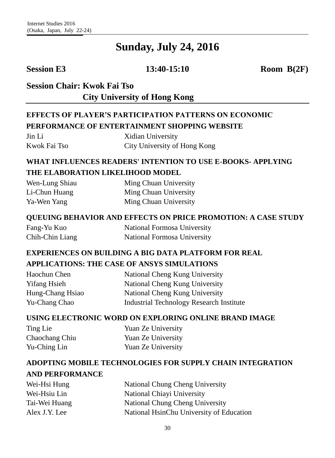**Session E3 13:40-15:10 Room B(2F)**

**Session Chair: Kwok Fai Tso**

**City University of Hong Kong** 

## **EFFECTS OF PLAYER'S PARTICIPATION PATTERNS ON ECONOMIC PERFORMANCE OF ENTERTAINMENT SHOPPING WEBSITE**

| Jin Li       | Xidian University            |
|--------------|------------------------------|
| Kwok Fai Tso | City University of Hong Kong |

#### **WHAT INFLUENCES READERS' INTENTION TO USE E-BOOKS- APPLYING THE ELABORATION LIKELIHOOD MODEL**

Wen-Lung Shiau Li-Chun Huang Ya-Wen Yang Ming Chuan University Ming Chuan University Ming Chuan University

#### **QUEUING BEHAVIOR AND EFFECTS ON PRICE PROMOTION: A CASE STUDY**

| Fang-Yu Kuo     | National Formosa University |
|-----------------|-----------------------------|
| Chih-Chin Liang | National Formosa University |

#### **EXPERIENCES ON BUILDING A BIG DATA PLATFORM FOR REAL APPLICATIONS: THE CASE OF ANSYS SIMULATIONS**

| Haochun Chen        | National Cheng Kung University           |
|---------------------|------------------------------------------|
| <b>Yifang Hsieh</b> | National Cheng Kung University           |
| Hung-Chang Hsiao    | National Cheng Kung University           |
| Yu-Chang Chao       | Industrial Technology Research Institute |

#### **USING ELECTRONIC WORD ON EXPLORING ONLINE BRAND IMAGE**

| Ting Lie       | Yuan Ze University |
|----------------|--------------------|
| Chaochang Chiu | Yuan Ze University |
| Yu-Ching Lin   | Yuan Ze University |

#### **ADOPTING MOBILE TECHNOLOGIES FOR SUPPLY CHAIN INTEGRATION AND PERFORMANCE**

| Wei-Hsi Hung  | National Chung Cheng University          |
|---------------|------------------------------------------|
| Wei-Hsiu Lin  | National Chiayi University               |
| Tai-Wei Huang | National Chung Cheng University          |
| Alex J.Y. Lee | National HsinChu University of Education |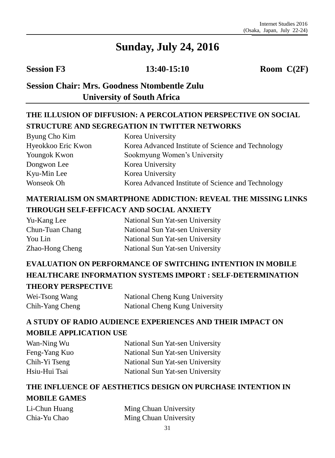**Session F3 13:40-15:10 Room C(2F)**

# **Session Chair: Mrs. Goodness Ntombentle Zulu University of South Africa**

# **THE ILLUSION OF DIFFUSION: A PERCOLATION PERSPECTIVE ON SOCIAL STRUCTURE AND SEGREGATION IN TWITTER NETWORKS**

| Byung Cho Kim      | Korea University                                   |
|--------------------|----------------------------------------------------|
| Hyeokkoo Eric Kwon | Korea Advanced Institute of Science and Technology |
| Youngok Kwon       | Sookmyung Women's University                       |
| Dongwon Lee        | Korea University                                   |
| Kyu-Min Lee        | Korea University                                   |
| Wonseok Oh         | Korea Advanced Institute of Science and Technology |

## **MATERIALISM ON SMARTPHONE ADDICTION: REVEAL THE MISSING LINKS THROUGH SELF-EFFICACY AND SOCIAL ANXIETY**

| Yu-Kang Lee     | National Sun Yat-sen University |
|-----------------|---------------------------------|
| Chun-Tuan Chang | National Sun Yat-sen University |
| You Lin         | National Sun Yat-sen University |
| Zhao-Hong Cheng | National Sun Yat-sen University |

# **EVALUATION ON PERFORMANCE OF SWITCHING INTENTION IN MOBILE HEALTHCARE INFORMATION SYSTEMS IMPORT : SELF-DETERMINATION THEORY PERSPECTIVE**

| Wei-Tsong Wang  | National Cheng Kung University |
|-----------------|--------------------------------|
| Chih-Yang Cheng | National Cheng Kung University |

#### **A STUDY OF RADIO AUDIENCE EXPERIENCES AND THEIR IMPACT ON MOBILE APPLICATION USE**

| Wan-Ning Wu   | National Sun Yat-sen University |
|---------------|---------------------------------|
| Feng-Yang Kuo | National Sun Yat-sen University |
| Chih-Yi Tseng | National Sun Yat-sen University |
| Hsiu-Hui Tsai | National Sun Yat-sen University |

# **THE INFLUENCE OF AESTHETICS DESIGN ON PURCHASE INTENTION IN MOBILE GAMES**

| Li-Chun Huang | Ming Chuan University |
|---------------|-----------------------|
| Chia-Yu Chao  | Ming Chuan University |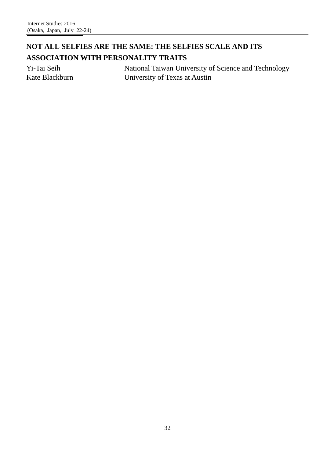### **NOT ALL SELFIES ARE THE SAME: THE SELFIES SCALE AND ITS ASSOCIATION WITH PERSONALITY TRAITS**

Yi-Tai Seih Kate Blackburn National Taiwan University of Science and Technology University of Texas at Austin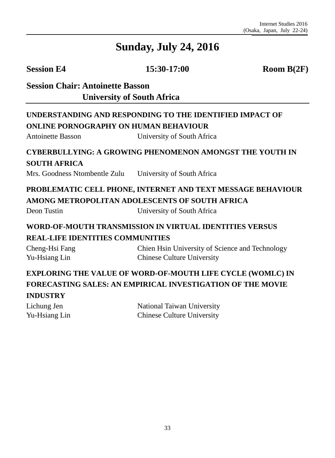**Session E4 15:30-17:00 Room B(2F)**

**Session Chair: Antoinette Basson University of South Africa** 

#### **UNDERSTANDING AND RESPONDING TO THE IDENTIFIED IMPACT OF ONLINE PORNOGRAPHY ON HUMAN BEHAVIOUR**

Antoinette Basson University of South Africa

#### **CYBERBULLYING: A GROWING PHENOMENON AMONGST THE YOUTH IN SOUTH AFRICA**

Mrs. Goodness Ntombentle Zulu University of South Africa

# **PROBLEMATIC CELL PHONE, INTERNET AND TEXT MESSAGE BEHAVIOUR AMONG METROPOLITAN ADOLESCENTS OF SOUTH AFRICA**

Deon Tustin University of South Africa

#### **WORD-OF-MOUTH TRANSMISSION IN VIRTUAL IDENTITIES VERSUS REAL-LIFE IDENTITIES COMMUNITIES**

Cheng-Hsi Fang Yu-Hsiang Lin Chien Hsin University of Science and Technology Chinese Culture University

### **EXPLORING THE VALUE OF WORD-OF-MOUTH LIFE CYCLE (WOMLC) IN FORECASTING SALES: AN EMPIRICAL INVESTIGATION OF THE MOVIE INDUSTRY**

| Lichung Jen   | National Taiwan University        |
|---------------|-----------------------------------|
| Yu-Hsiang Lin | <b>Chinese Culture University</b> |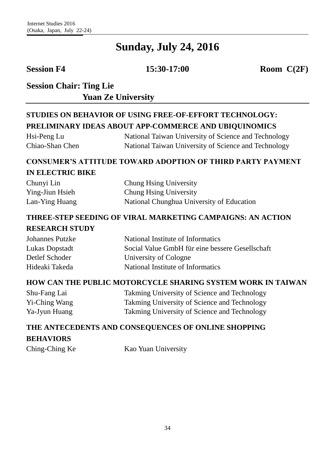**Session F4 15:30-17:00 Room C(2F)**

**Session Chair: Ting Lie Session Chair: Yuan Ze University**

### **STUDIES ON BEHAVIOR OF USING FREE-OF-EFFORT TECHNOLOGY: PRELIMINARY IDEAS ABOUT APP-COMMERCE AND UBIQUINOMICS**

Hsi-Peng Lu Chiao-Shan Chen National Taiwan University of Science and Technology National Taiwan University of Science and Technology

#### **CONSUMER'S ATTITUDE TOWARD ADOPTION OF THIRD PARTY PAYMENT IN ELECTRIC BIKE**

| Chunyi Lin      | Chung Hsing University                    |
|-----------------|-------------------------------------------|
| Ying-Jiun Hsieh | Chung Hsing University                    |
| Lan-Ying Huang  | National Chunghua University of Education |

# **THREE-STEP SEEDING OF VIRAL MARKETING CAMPAIGNS: AN ACTION**

#### **RESEARCH STUDY**

| <b>Johannes Putzke</b> | National Institute of Informatics               |
|------------------------|-------------------------------------------------|
| Lukas Dopstadt         | Social Value GmbH für eine bessere Gesellschaft |
| Detlef Schoder         | University of Cologne                           |
| Hideaki Takeda         | National Institute of Informatics               |

#### **HOW CAN THE PUBLIC MOTORCYCLE SHARING SYSTEM WORK IN TAIWAN**

| Shu-Fang Lai  | Takming University of Science and Technology |
|---------------|----------------------------------------------|
| Yi-Ching Wang | Takming University of Science and Technology |
| Ya-Jyun Huang | Takming University of Science and Technology |

# **THE ANTECEDENTS AND CONSEQUENCES OF ONLINE SHOPPING BEHAVIORS**

Ching-Ching Ke Kao Yuan University